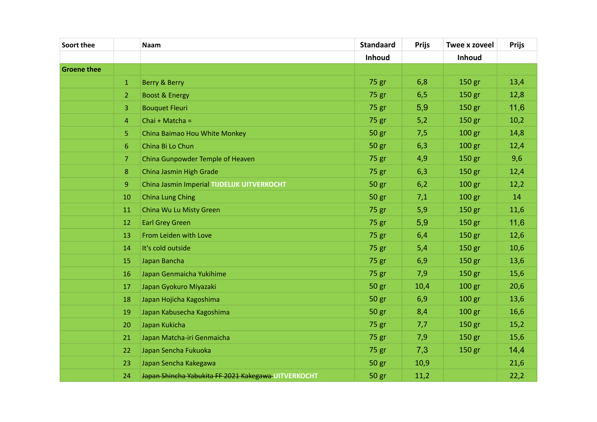| Soort thee         |                  | Naam                                                | <b>Standaard</b> | <b>Prijs</b> | Twee x zoveel     | <b>Prijs</b> |
|--------------------|------------------|-----------------------------------------------------|------------------|--------------|-------------------|--------------|
|                    |                  |                                                     | Inhoud           |              | Inhoud            |              |
| <b>Groene thee</b> |                  |                                                     |                  |              |                   |              |
|                    | $\mathbf{1}$     | Berry & Berry                                       | 75 gr            | 6,8          | 150 gr            | 13,4         |
|                    | 2                | <b>Boost &amp; Energy</b>                           | 75 gr            | 6,5          | 150 gr            | 12,8         |
|                    | 3                | <b>Bouquet Fleuri</b>                               | 75 gr            | 5,9          | 150 gr            | 11,6         |
|                    | $\overline{4}$   | Chai + Matcha =                                     | 75 gr            | 5,2          | 150 gr            | 10,2         |
|                    | 5                | China Baimao Hou White Monkey                       | 50 gr            | 7,5          | 100 <sub>gr</sub> | 14,8         |
|                    | $6\phantom{1}6$  | China Bi Lo Chun                                    | 50 gr            | 6,3          | 100 <sub>gr</sub> | 12,4         |
|                    | 7                | China Gunpowder Temple of Heaven                    | 75 gr            | 4,9          | 150 gr            | 9,6          |
|                    | 8                | China Jasmin High Grade                             | 75 gr            | 6,3          | 150 gr            | 12,4         |
|                    | $\boldsymbol{9}$ | <b>China Jasmin Imperial TIJDELIJK UITVERKOCHT</b>  | 50 gr            | 6,2          | 100 <sub>gr</sub> | 12,2         |
|                    | 10               | <b>China Lung Ching</b>                             | 50 gr            | 7,1          | 100 gr            | 14           |
|                    | 11               | China Wu Lu Misty Green                             | 75 gr            | 5,9          | 150 gr            | 11,6         |
|                    | 12               | <b>Earl Grey Green</b>                              | 75 gr            | 5,9          | 150 gr            | 11,6         |
|                    | 13               | From Leiden with Love                               | 75 gr            | 6,4          | 150 gr            | 12,6         |
|                    | 14               | It's cold outside                                   | 75 gr            | 5,4          | 150 gr            | 10,6         |
|                    | 15               | Japan Bancha                                        | 75 gr            | 6,9          | 150 gr            | 13,6         |
|                    | 16               | Japan Genmaicha Yukihime                            | 75 gr            | 7,9          | 150 gr            | 15,6         |
|                    | 17               | Japan Gyokuro Miyazaki                              | 50 gr            | 10,4         | 100 <sub>gr</sub> | 20,6         |
|                    | 18               | Japan Hojicha Kagoshima                             | 50 gr            | 6,9          | 100 <sub>gr</sub> | 13,6         |
|                    | 19               | Japan Kabusecha Kagoshima                           | 50 gr            | 8,4          | 100 gr            | 16,6         |
|                    | 20               | Japan Kukicha                                       | 75 gr            | 7,7          | 150 gr            | 15,2         |
|                    | 21               | Japan Matcha-iri Genmaicha                          | 75 gr            | 7,9          | 150 gr            | 15,6         |
|                    | 22               | Japan Sencha Fukuoka                                | 75 gr            | 7,3          | 150 gr            | 14,4         |
|                    | 23               | Japan Sencha Kakegawa                               | 50 gr            | 10,9         |                   | 21,6         |
|                    | 24               | Japan Shincha Yabukita FF 2021 Kakegawa UITVERKOCHT | 50 gr            | 11,2         |                   | 22,2         |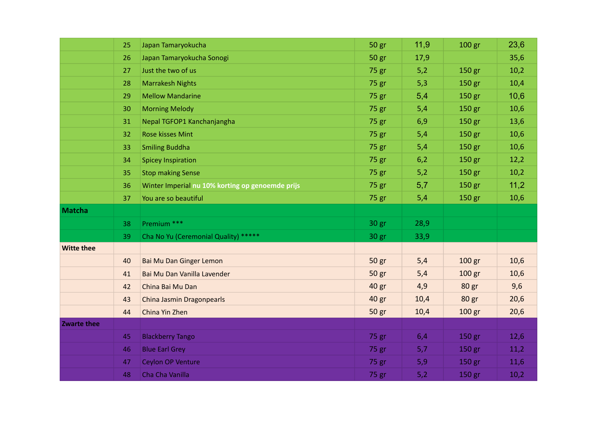|                    | 25 | Japan Tamaryokucha                               | 50 gr | 11,9 | 100 gr            | 23,6 |
|--------------------|----|--------------------------------------------------|-------|------|-------------------|------|
|                    | 26 | Japan Tamaryokucha Sonogi                        | 50 gr | 17,9 |                   | 35,6 |
|                    | 27 | Just the two of us                               | 75 gr | 5,2  | 150 gr            | 10,2 |
|                    | 28 | <b>Marrakesh Nights</b>                          | 75 gr | 5,3  | 150 gr            | 10,4 |
|                    | 29 | <b>Mellow Mandarine</b>                          | 75 gr | 5,4  | 150 gr            | 10,6 |
|                    | 30 | <b>Morning Melody</b>                            | 75 gr | 5,4  | 150 gr            | 10,6 |
|                    | 31 | Nepal TGFOP1 Kanchanjangha                       | 75 gr | 6,9  | 150 gr            | 13,6 |
|                    | 32 | Rose kisses Mint                                 | 75 gr | 5,4  | 150 gr            | 10,6 |
|                    | 33 | <b>Smiling Buddha</b>                            | 75 gr | 5,4  | 150 gr            | 10,6 |
|                    | 34 | <b>Spicey Inspiration</b>                        | 75 gr | 6,2  | 150 gr            | 12,2 |
|                    | 35 | <b>Stop making Sense</b>                         | 75 gr | 5,2  | 150 gr            | 10,2 |
|                    | 36 | Winter Imperial nu 10% korting op genoemde prijs | 75 gr | 5,7  | 150 gr            | 11,2 |
|                    | 37 | You are so beautiful                             | 75 gr | 5,4  | 150 <sub>gr</sub> | 10,6 |
| <b>Matcha</b>      |    |                                                  |       |      |                   |      |
|                    | 38 | Premium ***                                      | 30 gr | 28,9 |                   |      |
|                    | 39 | Cha No Yu (Ceremonial Quality) *****             | 30 gr | 33,9 |                   |      |
| <b>Witte thee</b>  |    |                                                  |       |      |                   |      |
|                    | 40 | Bai Mu Dan Ginger Lemon                          | 50 gr | 5,4  | 100 gr            | 10,6 |
|                    | 41 | Bai Mu Dan Vanilla Lavender                      | 50 gr | 5,4  | 100 gr            | 10,6 |
|                    | 42 | China Bai Mu Dan                                 | 40 gr | 4,9  | 80 gr             | 9,6  |
|                    | 43 | China Jasmin Dragonpearls                        | 40 gr | 10,4 | 80 gr             | 20,6 |
|                    | 44 | China Yin Zhen                                   | 50 gr | 10,4 | 100 <sub>gr</sub> | 20,6 |
| <b>Zwarte thee</b> |    |                                                  |       |      |                   |      |
|                    | 45 | <b>Blackberry Tango</b>                          | 75 gr | 6,4  | 150 gr            | 12,6 |
|                    | 46 | <b>Blue Earl Grey</b>                            | 75 gr | 5,7  | 150 gr            | 11,2 |
|                    | 47 | Ceylon OP Venture                                | 75 gr | 5,9  | 150 gr            | 11,6 |
|                    | 48 | Cha Cha Vanilla                                  | 75 gr | 5,2  | 150 gr            | 10,2 |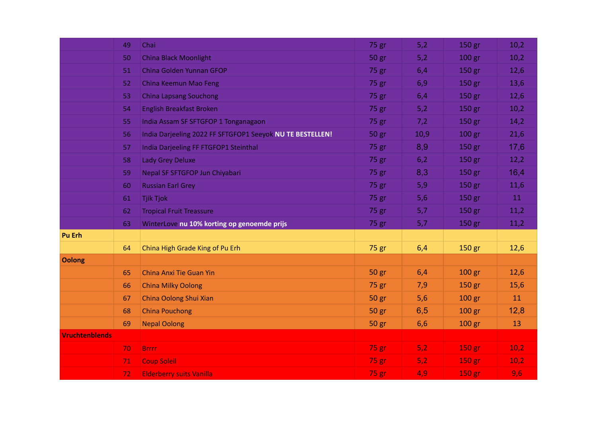|                       | 49 | Chai                                                      | 75 gr   | 5,2  | 150 gr            | 10,2 |
|-----------------------|----|-----------------------------------------------------------|---------|------|-------------------|------|
|                       | 50 | <b>China Black Moonlight</b>                              | 50 gr   | 5,2  | 100 gr            | 10,2 |
|                       | 51 | China Golden Yunnan GFOP                                  | 75 gr   | 6,4  | 150 gr            | 12,6 |
|                       | 52 | China Keemun Mao Feng                                     | 75 gr   | 6,9  | 150 gr            | 13,6 |
|                       | 53 | <b>China Lapsang Souchong</b>                             | 75 gr   | 6,4  | 150 gr            | 12,6 |
|                       | 54 | <b>English Breakfast Broken</b>                           | 75 gr   | 5,2  | 150 gr            | 10,2 |
|                       | 55 | India Assam SF SFTGFOP 1 Tonganagaon                      | 75 gr   | 7,2  | 150 gr            | 14,2 |
|                       | 56 | India Darjeeling 2022 FF SFTGFOP1 Seeyok NU TE BESTELLEN! | 50 gr   | 10,9 | 100 gr            | 21,6 |
|                       | 57 | India Darjeeling FF FTGFOP1 Steinthal                     | 75 gr   | 8,9  | 150 gr            | 17,6 |
|                       | 58 | Lady Grey Deluxe                                          | 75 gr   | 6,2  | 150 gr            | 12,2 |
|                       | 59 | Nepal SF SFTGFOP Jun Chiyabari                            | 75 gr   | 8,3  | 150 gr            | 16,4 |
|                       | 60 | <b>Russian Earl Grey</b>                                  | 75 gr   | 5,9  | 150 gr            | 11,6 |
|                       | 61 | <b>Tjik Tjok</b>                                          | $75$ gr | 5,6  | 150 gr            | 11   |
|                       | 62 | <b>Tropical Fruit Treassure</b>                           | 75 gr   | 5,7  | 150 gr            | 11,2 |
|                       | 63 | WinterLove nu 10% korting op genoemde prijs               | 75 gr   | 5,7  | 150 gr            | 11,2 |
| Pu Erh                |    |                                                           |         |      |                   |      |
|                       | 64 | China High Grade King of Pu Erh                           | 75 gr   | 6,4  | 150 gr            | 12,6 |
| <b>Oolong</b>         |    |                                                           |         |      |                   |      |
|                       | 65 | China Anxi Tie Guan Yin                                   | 50 gr   | 6,4  | 100 gr            | 12,6 |
|                       | 66 | <b>China Milky Oolong</b>                                 | 75 gr   | 7,9  | 150 gr            | 15,6 |
|                       | 67 | China Oolong Shui Xian                                    | 50 gr   | 5,6  | 100 <sub>gr</sub> | 11   |
|                       | 68 | <b>China Pouchong</b>                                     | 50 gr   | 6,5  | 100 gr            | 12,8 |
|                       | 69 | <b>Nepal Oolong</b>                                       | 50 gr   | 6,6  | 100 gr            | 13   |
| <b>Vruchtenblends</b> |    |                                                           |         |      |                   |      |
|                       | 70 | <b>Brrrr</b>                                              | 75 gr   | 5,2  | 150 gr            | 10,2 |
|                       | 71 | <b>Coup Soleil</b>                                        | 75 gr   | 5,2  | 150 gr            | 10,2 |
|                       | 72 | <b>Elderberry suits Vanilla</b>                           | 75 gr   | 4,9  | 150 gr            | 9,6  |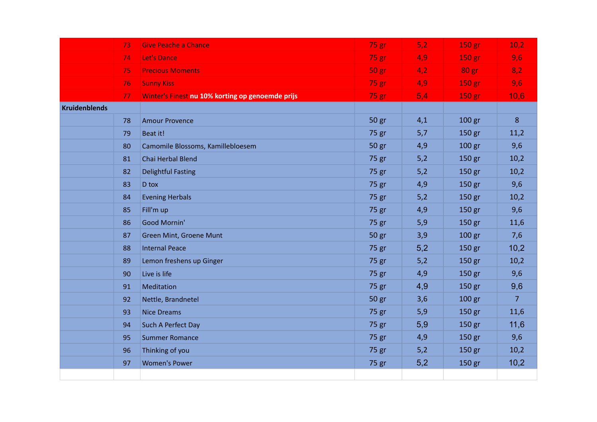|                      | 73 | <b>Give Peache a Chance</b>                      | 75 gr   | 5,2 | 150 gr | 10,2           |
|----------------------|----|--------------------------------------------------|---------|-----|--------|----------------|
|                      | 74 | Let's Dance                                      | 75 gr   | 4,9 | 150 gr | 9,6            |
|                      | 75 | <b>Precious Moments</b>                          | 50 gr.  | 4,2 | 80 gr  | 8,2            |
|                      | 76 | <b>Sunny Kiss</b>                                | $75$ gr | 4,9 | 150 gr | 9,6            |
|                      | 77 | Winter's Finest nu 10% korting op genoemde prijs | 75 gr   | 5,4 | 150 gr | 10,6           |
| <b>Kruidenblends</b> |    |                                                  |         |     |        |                |
|                      | 78 | <b>Amour Provence</b>                            | 50 gr   | 4,1 | 100 gr | 8              |
|                      | 79 | Beat it!                                         | 75 gr   | 5,7 | 150 gr | 11,2           |
|                      | 80 | Camomile Blossoms, Kamillebloesem                | 50 gr   | 4,9 | 100 gr | 9,6            |
|                      | 81 | Chai Herbal Blend                                | 75 gr   | 5,2 | 150 gr | 10,2           |
|                      | 82 | <b>Delightful Fasting</b>                        | 75 gr   | 5,2 | 150 gr | 10,2           |
|                      | 83 | D tox                                            | 75 gr   | 4,9 | 150 gr | 9,6            |
|                      | 84 | <b>Evening Herbals</b>                           | 75 gr   | 5,2 | 150 gr | 10,2           |
|                      | 85 | Fill'm up                                        | 75 gr   | 4,9 | 150 gr | 9,6            |
|                      | 86 | Good Mornin'                                     | 75 gr   | 5,9 | 150 gr | 11,6           |
|                      | 87 | Green Mint, Groene Munt                          | 50 gr   | 3,9 | 100 gr | 7,6            |
|                      | 88 | <b>Internal Peace</b>                            | 75 gr   | 5,2 | 150 gr | 10,2           |
|                      | 89 | Lemon freshens up Ginger                         | 75 gr   | 5,2 | 150 gr | 10,2           |
|                      | 90 | Live is life                                     | 75 gr   | 4,9 | 150 gr | 9,6            |
|                      | 91 | Meditation                                       | 75 gr   | 4,9 | 150 gr | 9,6            |
|                      | 92 | Nettle, Brandnetel                               | 50 gr   | 3,6 | 100 gr | 7 <sup>1</sup> |
|                      | 93 | <b>Nice Dreams</b>                               | 75 gr   | 5,9 | 150 gr | 11,6           |
|                      | 94 | Such A Perfect Day                               | 75 gr   | 5,9 | 150 gr | 11,6           |
|                      | 95 | <b>Summer Romance</b>                            | 75 gr   | 4,9 | 150 gr | 9,6            |
|                      | 96 | Thinking of you                                  | 75 gr   | 5,2 | 150 gr | 10,2           |
|                      | 97 | <b>Women's Power</b>                             | 75 gr   | 5,2 | 150 gr | 10,2           |
|                      |    |                                                  |         |     |        |                |